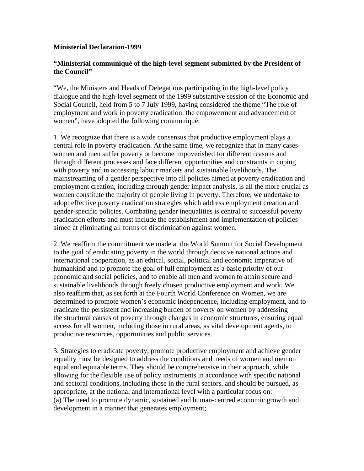## **Ministerial Declaration-1999**

## **"Ministerial communiqué of the high-level segment submitted by the President of the Council"**

"We, the Ministers and Heads of Delegations participating in the high-level policy dialogue and the high-level segment of the 1999 substantive session of the Economic and Social Council, held from 5 to 7 July 1999, having considered the theme "The role of employment and work in poverty eradication: the empowerment and advancement of women", have adopted the following communiqué:

1. We recognize that there is a wide consensus that productive employment plays a central role in poverty eradication. At the same time, we recognize that in many cases women and men suffer poverty or become impoverished for different reasons and through different processes and face different opportunities and constraints in coping with poverty and in accessing labour markets and sustainable livelihoods. The mainstreaming of a gender perspective into all policies aimed at poverty eradication and employment creation, including through gender impact analysis, is all the more crucial as women constitute the majority of people living in poverty. Therefore, we undertake to adopt effective poverty eradication strategies which address employment creation and gender-specific policies. Combating gender inequalities is central to successful poverty eradication efforts and must include the establishment and implementation of policies aimed at eliminating all forms of discrimination against women.

2. We reaffirm the commitment we made at the World Summit for Social Development to the goal of eradicating poverty in the world through decisive national actions and international cooperation, as an ethical, social, political and economic imperative of humankind and to promote the goal of full employment as a basic priority of our economic and social policies, and to enable all men and women to attain secure and sustainable livelihoods through freely chosen productive employment and work. We also reaffirm that, as set forth at the Fourth World Conference on Women, we are determined to promote women's economic independence, including employment, and to eradicate the persistent and increasing burden of poverty on women by addressing the structural causes of poverty through changes in economic structures, ensuring equal access for all women, including those in rural areas, as vital development agents, to productive resources, opportunities and public services.

3. Strategies to eradicate poverty, promote productive employment and achieve gender equality must be designed to address the conditions and needs of women and men on equal and equitable terms. They should be comprehensive in their approach, while allowing for the flexible use of policy instruments in accordance with specific national and sectoral conditions, including those in the rural sectors, and should be pursued, as appropriate, at the national and international level with a particular focus on: (a) The need to promote dynamic, sustained and human-centred economic growth and development in a manner that generates employment;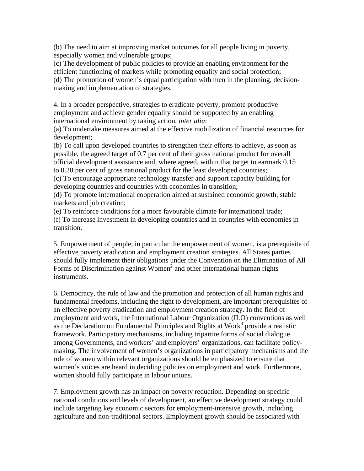(b) The need to aim at improving market outcomes for all people living in poverty, especially women and vulnerable groups;

(c) The development of public policies to provide an enabling environment for the efficient functioning of markets while promoting equality and social protection; (d) The promotion of women's equal participation with men in the planning, decisionmaking and implementation of strategies.

4. In a broader perspective, strategies to eradicate poverty, promote productive employment and achieve gender equality should be supported by an enabling international environment by taking action, *inter alia*:

(a) To undertake measures aimed at the effective mobilization of financial resources for development;

(b) To call upon developed countries to strengthen their efforts to achieve, as soon as possible, the agreed target of 0.7 per cent of their gross national product for overall official development assistance and, where agreed, within that target to earmark 0.15 to 0.20 per cent of gross national product for the least developed countries;

(c) To encourage appropriate technology transfer and support capacity building for developing countries and countries with economies in transition;

(d) To promote international cooperation aimed at sustained economic growth, stable markets and job creation;

(e) To reinforce conditions for a more favourable climate for international trade; (f) To increase investment in developing countries and in countries with economies in transition.

5. Empowerment of people, in particular the empowerment of women, is a prerequisite of effective poverty eradication and employment creation strategies. All States parties should fully implement their obligations under the Convention on the Elimination of All Forms of Discrimination against Women<sup>2</sup> and other international human rights instruments.

6. Democracy, the rule of law and the promotion and protection of all human rights and fundamental freedoms, including the right to development, are important prerequisites of an effective poverty eradication and employment creation strategy. In the field of employment and work, the International Labour Organization (ILO) conventions as well as the Declaration on Fundamental Principles and Rights at Work<sup>3</sup> provide a realistic framework. Participatory mechanisms, including tripartite forms of social dialogue among Governments, and workers' and employers' organizations, can facilitate policymaking. The involvement of women's organizations in participatory mechanisms and the role of women within relevant organizations should be emphasized to ensure that women's voices are heard in deciding policies on employment and work. Furthermore, women should fully participate in labour unions.

7. Employment growth has an impact on poverty reduction. Depending on specific national conditions and levels of development, an effective development strategy could include targeting key economic sectors for employment-intensive growth, including agriculture and non-traditional sectors. Employment growth should be associated with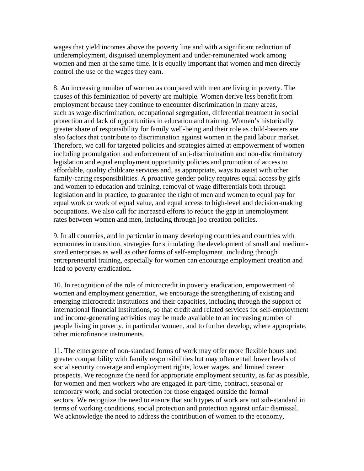wages that yield incomes above the poverty line and with a significant reduction of underemployment, disguised unemployment and under-remunerated work among women and men at the same time. It is equally important that women and men directly control the use of the wages they earn.

8. An increasing number of women as compared with men are living in poverty. The causes of this feminization of poverty are multiple. Women derive less benefit from employment because they continue to encounter discrimination in many areas, such as wage discrimination, occupational segregation, differential treatment in social protection and lack of opportunities in education and training. Women's historically greater share of responsibility for family well-being and their role as child-bearers are also factors that contribute to discrimination against women in the paid labour market. Therefore, we call for targeted policies and strategies aimed at empowerment of women including promulgation and enforcement of anti-discrimination and non-discriminatory legislation and equal employment opportunity policies and promotion of access to affordable, quality childcare services and, as appropriate, ways to assist with other family-caring responsibilities. A proactive gender policy requires equal access by girls and women to education and training, removal of wage differentials both through legislation and in practice, to guarantee the right of men and women to equal pay for equal work or work of equal value, and equal access to high-level and decision-making occupations. We also call for increased efforts to reduce the gap in unemployment rates between women and men, including through job creation policies.

9. In all countries, and in particular in many developing countries and countries with economies in transition, strategies for stimulating the development of small and mediumsized enterprises as well as other forms of self-employment, including through entrepreneurial training, especially for women can encourage employment creation and lead to poverty eradication.

10. In recognition of the role of microcredit in poverty eradication, empowerment of women and employment generation, we encourage the strengthening of existing and emerging microcredit institutions and their capacities, including through the support of international financial institutions, so that credit and related services for self-employment and income-generating activities may be made available to an increasing number of people living in poverty, in particular women, and to further develop, where appropriate, other microfinance instruments.

11. The emergence of non-standard forms of work may offer more flexible hours and greater compatibility with family responsibilities but may often entail lower levels of social security coverage and employment rights, lower wages, and limited career prospects. We recognize the need for appropriate employment security, as far as possible, for women and men workers who are engaged in part-time, contract, seasonal or temporary work, and social protection for those engaged outside the formal sectors. We recognize the need to ensure that such types of work are not sub-standard in terms of working conditions, social protection and protection against unfair dismissal. We acknowledge the need to address the contribution of women to the economy,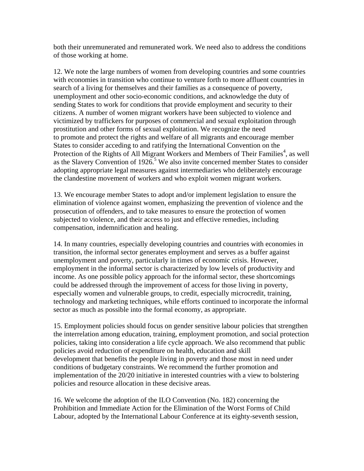both their unremunerated and remunerated work. We need also to address the conditions of those working at home.

12. We note the large numbers of women from developing countries and some countries with economies in transition who continue to venture forth to more affluent countries in search of a living for themselves and their families as a consequence of poverty, unemployment and other socio-economic conditions, and acknowledge the duty of sending States to work for conditions that provide employment and security to their citizens. A number of women migrant workers have been subjected to violence and victimized by traffickers for purposes of commercial and sexual exploitation through prostitution and other forms of sexual exploitation. We recognize the need to promote and protect the rights and welfare of all migrants and encourage member States to consider acceding to and ratifying the International Convention on the Protection of the Rights of All Migrant Workers and Members of Their Families<sup>4</sup>, as well as the Slavery Convention of  $1926$ <sup>5</sup> We also invite concerned member States to consider adopting appropriate legal measures against intermediaries who deliberately encourage the clandestine movement of workers and who exploit women migrant workers.

13. We encourage member States to adopt and/or implement legislation to ensure the elimination of violence against women, emphasizing the prevention of violence and the prosecution of offenders, and to take measures to ensure the protection of women subjected to violence, and their access to just and effective remedies, including compensation, indemnification and healing.

14. In many countries, especially developing countries and countries with economies in transition, the informal sector generates employment and serves as a buffer against unemployment and poverty, particularly in times of economic crisis. However, employment in the informal sector is characterized by low levels of productivity and income. As one possible policy approach for the informal sector, these shortcomings could be addressed through the improvement of access for those living in poverty, especially women and vulnerable groups, to credit, especially microcredit, training, technology and marketing techniques, while efforts continued to incorporate the informal sector as much as possible into the formal economy, as appropriate.

15. Employment policies should focus on gender sensitive labour policies that strengthen the interrelation among education, training, employment promotion, and social protection policies, taking into consideration a life cycle approach. We also recommend that public policies avoid reduction of expenditure on health, education and skill development that benefits the people living in poverty and those most in need under conditions of budgetary constraints. We recommend the further promotion and implementation of the 20/20 initiative in interested countries with a view to bolstering policies and resource allocation in these decisive areas.

16. We welcome the adoption of the ILO Convention (No. 182) concerning the Prohibition and Immediate Action for the Elimination of the Worst Forms of Child Labour, adopted by the International Labour Conference at its eighty-seventh session,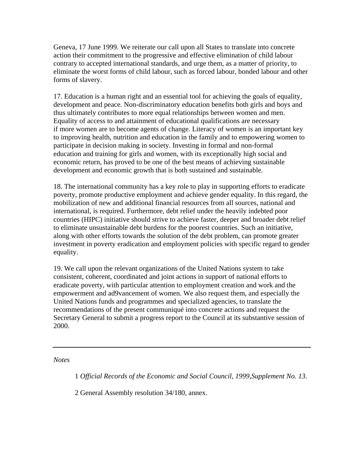Geneva, 17 June 1999. We reiterate our call upon all States to translate into concrete action their commitment to the progressive and effective elimination of child labour contrary to accepted international standards, and urge them, as a matter of priority, to eliminate the worst forms of child labour, such as forced labour, bonded labour and other forms of slavery.

17. Education is a human right and an essential tool for achieving the goals of equality, development and peace. Non-discriminatory education benefits both girls and boys and thus ultimately contributes to more equal relationships between women and men. Equality of access to and attainment of educational qualifications are necessary if more women are to become agents of change. Literacy of women is an important key to improving health, nutrition and education in the family and to empowering women to participate in decision making in society. Investing in formal and non-formal education and training for girls and women, with its exceptionally high social and economic return, has proved to be one of the best means of achieving sustainable development and economic growth that is both sustained and sustainable.

18. The international community has a key role to play in supporting efforts to eradicate poverty, promote productive employment and achieve gender equality. In this regard, the mobilization of new and additional financial resources from all sources, national and international, is required. Furthermore, debt relief under the heavily indebted poor countries (HIPC) initiative should strive to achieve faster, deeper and broader debt relief to eliminate unsustainable debt burdens for the poorest countries. Such an initiative, along with other efforts towards the solution of the debt problem, can promote greater investment in poverty eradication and employment policies with specific regard to gender equality.

19. We call upon the relevant organizations of the United Nations system to take consistent, coherent, coordinated and joint actions in support of national efforts to eradicate poverty, with particular attention to employment creation and work and the empowerment and ad9vancement of women. We also request them, and especially the United Nations funds and programmes and specialized agencies, to translate the recommendations of the present communiqué into concrete actions and request the Secretary General to submit a progress report to the Council at its substantive session of 2000.

*Notes* 

1 *Official Records of the Economic and Social Council, 1999,Supplement No. 13.* 

2 General Assembly resolution 34/180, annex.